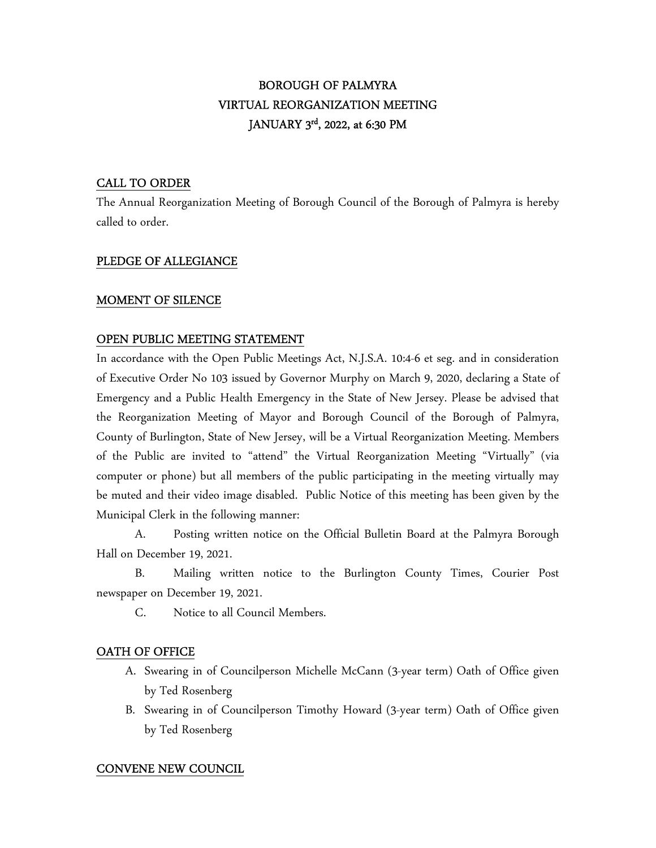# BOROUGH OF PALMYRA VIRTUAL REORGANIZATION MEETING JANUARY 3<sup>rd</sup>, 2022, at 6:30 PM

## CALL TO ORDER

The Annual Reorganization Meeting of Borough Council of the Borough of Palmyra is hereby called to order.

## PLEDGE OF ALLEGIANCE

## MOMENT OF SILENCE

## OPEN PUBLIC MEETING STATEMENT

In accordance with the Open Public Meetings Act, N.J.S.A. 10:4-6 et seg. and in consideration of Executive Order No 103 issued by Governor Murphy on March 9, 2020, declaring a State of Emergency and a Public Health Emergency in the State of New Jersey. Please be advised that the Reorganization Meeting of Mayor and Borough Council of the Borough of Palmyra, County of Burlington, State of New Jersey, will be a Virtual Reorganization Meeting. Members of the Public are invited to "attend" the Virtual Reorganization Meeting "Virtually" (via computer or phone) but all members of the public participating in the meeting virtually may be muted and their video image disabled. Public Notice of this meeting has been given by the Municipal Clerk in the following manner:

 A. Posting written notice on the Official Bulletin Board at the Palmyra Borough Hall on December 19, 2021.

 B. Mailing written notice to the Burlington County Times, Courier Post newspaper on December 19, 2021.

C. Notice to all Council Members.

## OATH OF OFFICE

- A. Swearing in of Councilperson Michelle McCann (3-year term) Oath of Office given by Ted Rosenberg
- B. Swearing in of Councilperson Timothy Howard (3-year term) Oath of Office given by Ted Rosenberg

# CONVENE NEW COUNCIL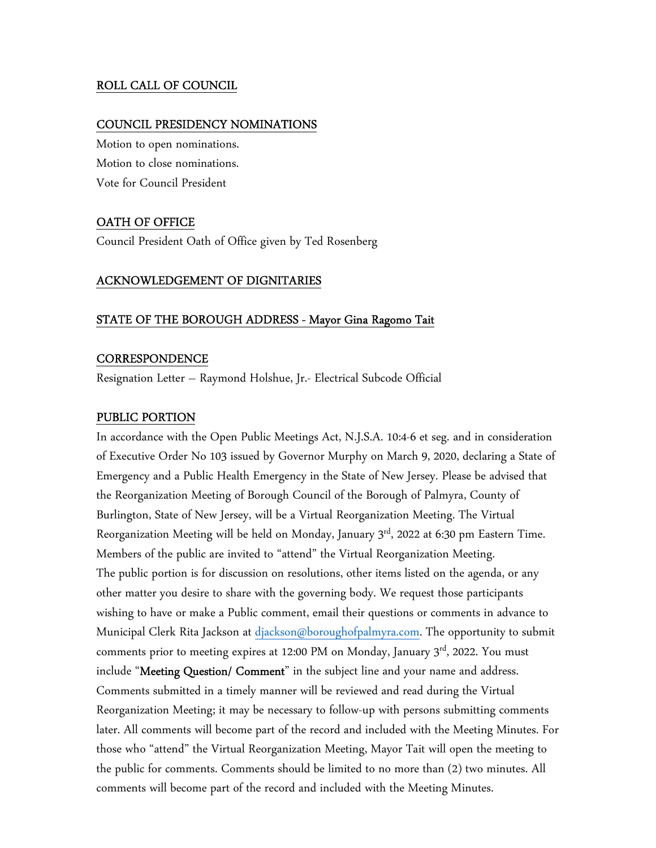## ROLL CALL OF COUNCIL

#### COUNCIL PRESIDENCY NOMINATIONS

Motion to open nominations. Motion to close nominations. Vote for Council President

### OATH OF OFFICE

Council President Oath of Office given by Ted Rosenberg

#### ACKNOWLEDGEMENT OF DIGNITARIES

#### STATE OF THE BOROUGH ADDRESS - Mayor Gina Ragomo Tait

#### **CORRESPONDENCE**

Resignation Letter – Raymond Holshue, Jr.- Electrical Subcode Official

#### PUBLIC PORTION

In accordance with the Open Public Meetings Act, N.J.S.A. 10:4-6 et seg. and in consideration of Executive Order No 103 issued by Governor Murphy on March 9, 2020, declaring a State of Emergency and a Public Health Emergency in the State of New Jersey. Please be advised that the Reorganization Meeting of Borough Council of the Borough of Palmyra, County of Burlington, State of New Jersey, will be a Virtual Reorganization Meeting. The Virtual Reorganization Meeting will be held on Monday, January  $3<sup>rd</sup>$ , 2022 at 6:30 pm Eastern Time. Members of the public are invited to "attend" the Virtual Reorganization Meeting. The public portion is for discussion on resolutions, other items listed on the agenda, or any other matter you desire to share with the governing body. We request those participants wishing to have or make a Public comment, email their questions or comments in advance to Municipal Clerk Rita Jackson at djackson@boroughofpalmyra.com. The opportunity to submit comments prior to meeting expires at 12:00 PM on Monday, January  $3<sup>rd</sup>$ , 2022. You must include "Meeting Question/ Comment" in the subject line and your name and address. Comments submitted in a timely manner will be reviewed and read during the Virtual Reorganization Meeting; it may be necessary to follow-up with persons submitting comments later. All comments will become part of the record and included with the Meeting Minutes. For those who "attend" the Virtual Reorganization Meeting, Mayor Tait will open the meeting to the public for comments. Comments should be limited to no more than (2) two minutes. All comments will become part of the record and included with the Meeting Minutes.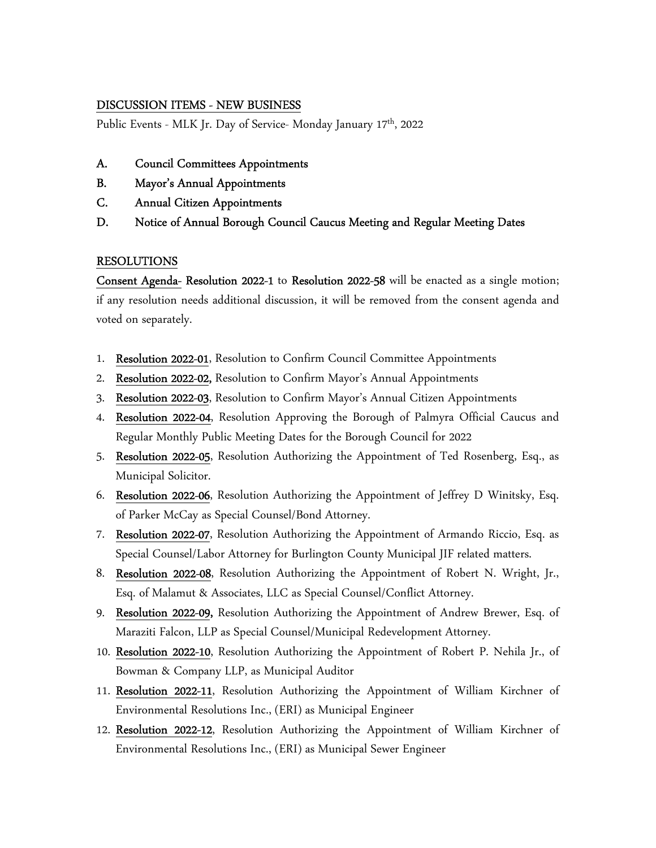## DISCUSSION ITEMS - NEW BUSINESS

Public Events - MLK Jr. Day of Service- Monday January 17<sup>th</sup>, 2022

- A. Council Committees Appointments
- B. Mayor's Annual Appointments
- C. Annual Citizen Appointments
- D. Notice of Annual Borough Council Caucus Meeting and Regular Meeting Dates

### RESOLUTIONS

Consent Agenda- Resolution 2022-1 to Resolution 2022-58 will be enacted as a single motion; if any resolution needs additional discussion, it will be removed from the consent agenda and voted on separately.

- 1. Resolution 2022-01, Resolution to Confirm Council Committee Appointments
- 2. Resolution 2022-02, Resolution to Confirm Mayor's Annual Appointments
- 3. Resolution 2022-03, Resolution to Confirm Mayor's Annual Citizen Appointments
- 4. Resolution 2022-04, Resolution Approving the Borough of Palmyra Official Caucus and Regular Monthly Public Meeting Dates for the Borough Council for 2022
- 5. Resolution 2022-05, Resolution Authorizing the Appointment of Ted Rosenberg, Esq., as Municipal Solicitor.
- 6. Resolution 2022-06, Resolution Authorizing the Appointment of Jeffrey D Winitsky, Esq. of Parker McCay as Special Counsel/Bond Attorney.
- 7. Resolution 2022-07, Resolution Authorizing the Appointment of Armando Riccio, Esq. as Special Counsel/Labor Attorney for Burlington County Municipal JIF related matters.
- 8. Resolution 2022-08, Resolution Authorizing the Appointment of Robert N. Wright, Jr., Esq. of Malamut & Associates, LLC as Special Counsel/Conflict Attorney.
- 9. Resolution 2022-09, Resolution Authorizing the Appointment of Andrew Brewer, Esq. of Maraziti Falcon, LLP as Special Counsel/Municipal Redevelopment Attorney.
- 10. Resolution 2022-10, Resolution Authorizing the Appointment of Robert P. Nehila Jr., of Bowman & Company LLP, as Municipal Auditor
- 11. Resolution 2022-11, Resolution Authorizing the Appointment of William Kirchner of Environmental Resolutions Inc., (ERI) as Municipal Engineer
- 12. Resolution 2022-12, Resolution Authorizing the Appointment of William Kirchner of Environmental Resolutions Inc., (ERI) as Municipal Sewer Engineer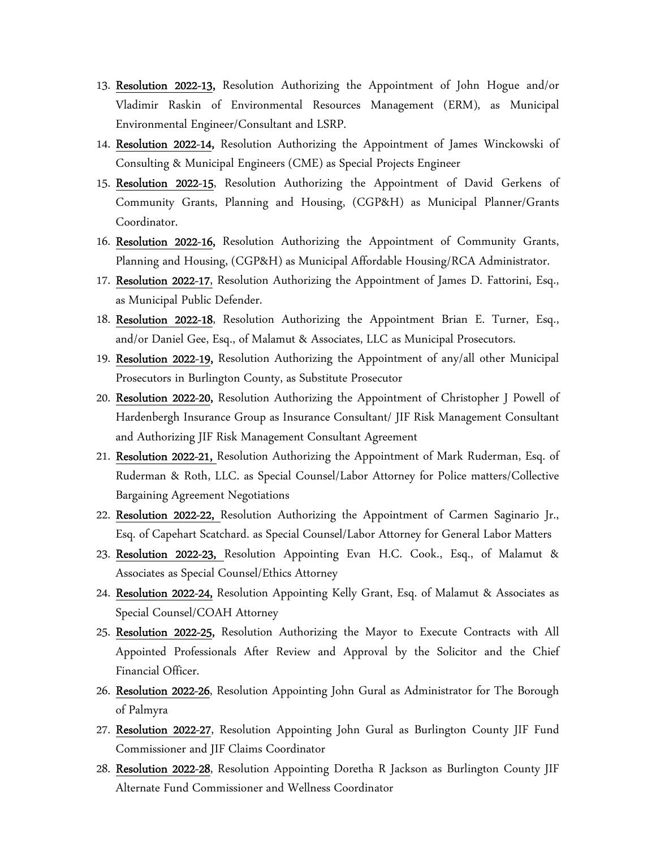- 13. Resolution 2022-13, Resolution Authorizing the Appointment of John Hogue and/or Vladimir Raskin of Environmental Resources Management (ERM), as Municipal Environmental Engineer/Consultant and LSRP.
- 14. Resolution 2022-14, Resolution Authorizing the Appointment of James Winckowski of Consulting & Municipal Engineers (CME) as Special Projects Engineer
- 15. Resolution 2022-15, Resolution Authorizing the Appointment of David Gerkens of Community Grants, Planning and Housing, (CGP&H) as Municipal Planner/Grants Coordinator.
- 16. Resolution 2022-16, Resolution Authorizing the Appointment of Community Grants, Planning and Housing, (CGP&H) as Municipal Affordable Housing/RCA Administrator.
- 17. Resolution 2022-17, Resolution Authorizing the Appointment of James D. Fattorini, Esq., as Municipal Public Defender.
- 18. Resolution 2022-18, Resolution Authorizing the Appointment Brian E. Turner, Esq., and/or Daniel Gee, Esq., of Malamut & Associates, LLC as Municipal Prosecutors.
- 19. Resolution 2022-19, Resolution Authorizing the Appointment of any/all other Municipal Prosecutors in Burlington County, as Substitute Prosecutor
- 20. Resolution 2022-20, Resolution Authorizing the Appointment of Christopher J Powell of Hardenbergh Insurance Group as Insurance Consultant/ JIF Risk Management Consultant and Authorizing JIF Risk Management Consultant Agreement
- 21. Resolution 2022-21, Resolution Authorizing the Appointment of Mark Ruderman, Esq. of Ruderman & Roth, LLC. as Special Counsel/Labor Attorney for Police matters/Collective Bargaining Agreement Negotiations
- 22. Resolution 2022-22, Resolution Authorizing the Appointment of Carmen Saginario Jr., Esq. of Capehart Scatchard. as Special Counsel/Labor Attorney for General Labor Matters
- 23. Resolution 2022-23, Resolution Appointing Evan H.C. Cook., Esq., of Malamut & Associates as Special Counsel/Ethics Attorney
- 24. Resolution 2022-24, Resolution Appointing Kelly Grant, Esq. of Malamut & Associates as Special Counsel/COAH Attorney
- 25. Resolution 2022-25, Resolution Authorizing the Mayor to Execute Contracts with All Appointed Professionals After Review and Approval by the Solicitor and the Chief Financial Officer.
- 26. Resolution 2022-26, Resolution Appointing John Gural as Administrator for The Borough of Palmyra
- 27. Resolution 2022-27, Resolution Appointing John Gural as Burlington County JIF Fund Commissioner and JIF Claims Coordinator
- 28. Resolution 2022-28, Resolution Appointing Doretha R Jackson as Burlington County JIF Alternate Fund Commissioner and Wellness Coordinator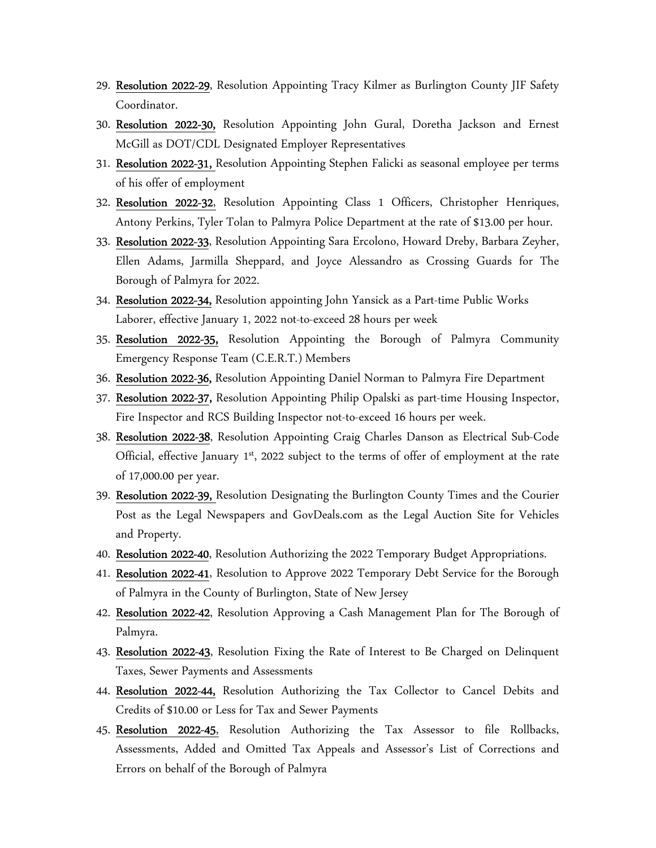- 29. Resolution 2022-29, Resolution Appointing Tracy Kilmer as Burlington County JIF Safety Coordinator.
- 30. Resolution 2022-30, Resolution Appointing John Gural, Doretha Jackson and Ernest McGill as DOT/CDL Designated Employer Representatives
- 31. Resolution 2022-31, Resolution Appointing Stephen Falicki as seasonal employee per terms of his offer of employment
- 32. Resolution 2022-32, Resolution Appointing Class 1 Officers, Christopher Henriques, Antony Perkins, Tyler Tolan to Palmyra Police Department at the rate of \$13.00 per hour.
- 33. Resolution 2022-33, Resolution Appointing Sara Ercolono, Howard Dreby, Barbara Zeyher, Ellen Adams, Jarmilla Sheppard, and Joyce Alessandro as Crossing Guards for The Borough of Palmyra for 2022.
- 34. Resolution 2022-34, Resolution appointing John Yansick as a Part-time Public Works Laborer, effective January 1, 2022 not-to-exceed 28 hours per week
- 35. Resolution 2022-35, Resolution Appointing the Borough of Palmyra Community Emergency Response Team (C.E.R.T.) Members
- 36. Resolution 2022-36, Resolution Appointing Daniel Norman to Palmyra Fire Department
- 37. Resolution 2022-37, Resolution Appointing Philip Opalski as part-time Housing Inspector, Fire Inspector and RCS Building Inspector not-to-exceed 16 hours per week.
- 38. Resolution 2022-38, Resolution Appointing Craig Charles Danson as Electrical Sub-Code Official, effective January 1<sup>st</sup>, 2022 subject to the terms of offer of employment at the rate of 17,000.00 per year.
- 39. Resolution 2022-39, Resolution Designating the Burlington County Times and the Courier Post as the Legal Newspapers and GovDeals.com as the Legal Auction Site for Vehicles and Property.
- 40. Resolution 2022-40, Resolution Authorizing the 2022 Temporary Budget Appropriations.
- 41. Resolution 2022-41, Resolution to Approve 2022 Temporary Debt Service for the Borough of Palmyra in the County of Burlington, State of New Jersey
- 42. Resolution 2022-42, Resolution Approving a Cash Management Plan for The Borough of Palmyra.
- 43. Resolution 2022-43, Resolution Fixing the Rate of Interest to Be Charged on Delinquent Taxes, Sewer Payments and Assessments
- 44. Resolution 2022-44, Resolution Authorizing the Tax Collector to Cancel Debits and Credits of \$10.00 or Less for Tax and Sewer Payments
- 45. Resolution 2022-45, Resolution Authorizing the Tax Assessor to file Rollbacks, Assessments, Added and Omitted Tax Appeals and Assessor's List of Corrections and Errors on behalf of the Borough of Palmyra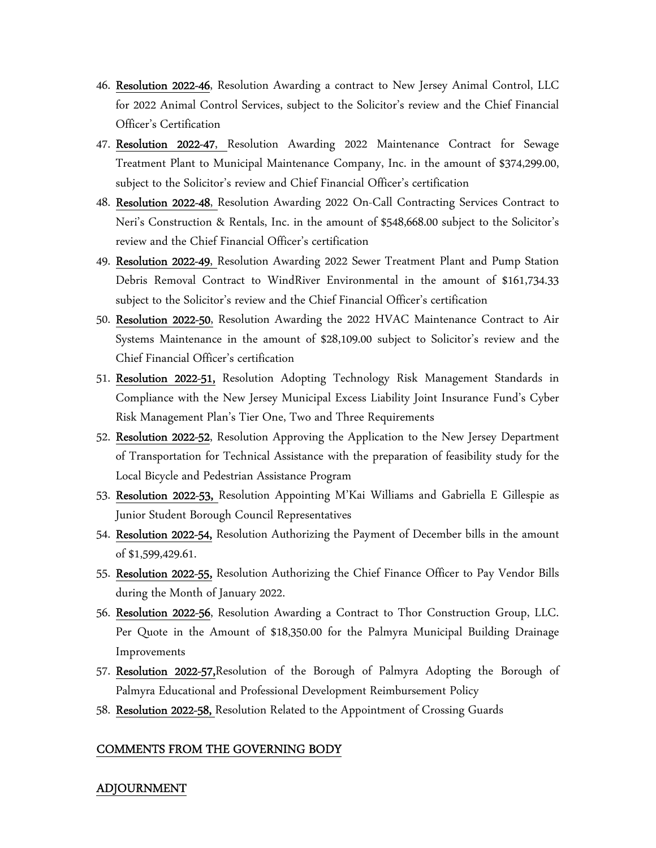- 46. Resolution 2022-46, Resolution Awarding a contract to New Jersey Animal Control, LLC for 2022 Animal Control Services, subject to the Solicitor's review and the Chief Financial Officer's Certification
- 47. Resolution 2022-47, Resolution Awarding 2022 Maintenance Contract for Sewage Treatment Plant to Municipal Maintenance Company, Inc. in the amount of \$374,299.00, subject to the Solicitor's review and Chief Financial Officer's certification
- 48. Resolution 2022-48, Resolution Awarding 2022 On-Call Contracting Services Contract to Neri's Construction & Rentals, Inc. in the amount of \$548,668.00 subject to the Solicitor's review and the Chief Financial Officer's certification
- 49. Resolution 2022-49, Resolution Awarding 2022 Sewer Treatment Plant and Pump Station Debris Removal Contract to WindRiver Environmental in the amount of \$161,734.33 subject to the Solicitor's review and the Chief Financial Officer's certification
- 50. Resolution 2022-50, Resolution Awarding the 2022 HVAC Maintenance Contract to Air Systems Maintenance in the amount of \$28,109.00 subject to Solicitor's review and the Chief Financial Officer's certification
- 51. Resolution 2022-51, Resolution Adopting Technology Risk Management Standards in Compliance with the New Jersey Municipal Excess Liability Joint Insurance Fund's Cyber Risk Management Plan's Tier One, Two and Three Requirements
- 52. Resolution 2022-52, Resolution Approving the Application to the New Jersey Department of Transportation for Technical Assistance with the preparation of feasibility study for the Local Bicycle and Pedestrian Assistance Program
- 53. Resolution 2022-53, Resolution Appointing M'Kai Williams and Gabriella E Gillespie as Junior Student Borough Council Representatives
- 54. Resolution 2022-54, Resolution Authorizing the Payment of December bills in the amount of \$1,599,429.61.
- 55. Resolution 2022-55, Resolution Authorizing the Chief Finance Officer to Pay Vendor Bills during the Month of January 2022.
- 56. Resolution 2022-56, Resolution Awarding a Contract to Thor Construction Group, LLC. Per Quote in the Amount of \$18,350.00 for the Palmyra Municipal Building Drainage Improvements
- 57. Resolution 2022-57,Resolution of the Borough of Palmyra Adopting the Borough of Palmyra Educational and Professional Development Reimbursement Policy
- 58. Resolution 2022-58, Resolution Related to the Appointment of Crossing Guards

#### COMMENTS FROM THE GOVERNING BODY

#### ADJOURNMENT